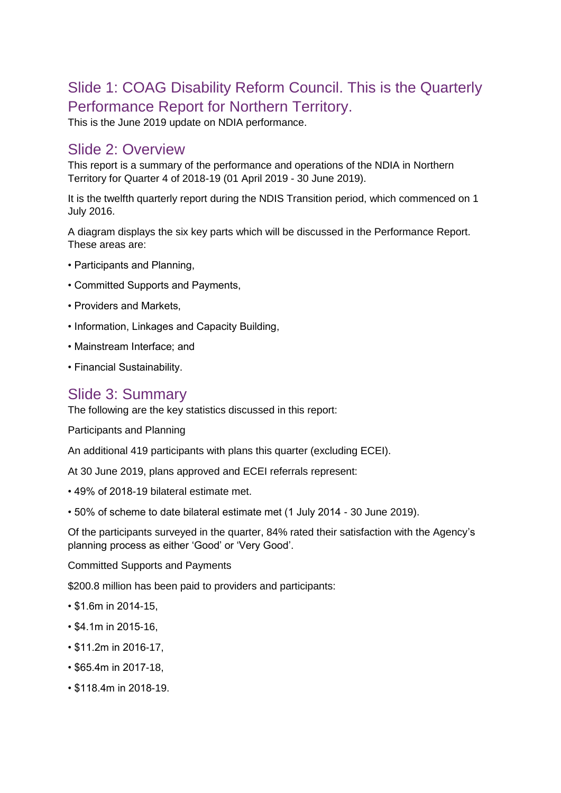# Slide 1: COAG Disability Reform Council. This is the Quarterly Performance Report for Northern Territory.

This is the June 2019 update on NDIA performance.

### Slide 2: Overview

This report is a summary of the performance and operations of the NDIA in Northern Territory for Quarter 4 of 2018-19 (01 April 2019 - 30 June 2019).

It is the twelfth quarterly report during the NDIS Transition period, which commenced on 1 July 2016.

A diagram displays the six key parts which will be discussed in the Performance Report. These areas are:

- Participants and Planning,
- Committed Supports and Payments,
- Providers and Markets,
- Information, Linkages and Capacity Building,
- Mainstream Interface; and
- Financial Sustainability.

### Slide 3: Summary

The following are the key statistics discussed in this report:

Participants and Planning

An additional 419 participants with plans this quarter (excluding ECEI).

At 30 June 2019, plans approved and ECEI referrals represent:

- 49% of 2018-19 bilateral estimate met.
- 50% of scheme to date bilateral estimate met (1 July 2014 30 June 2019).

Of the participants surveyed in the quarter, 84% rated their satisfaction with the Agency's planning process as either 'Good' or 'Very Good'.

Committed Supports and Payments

\$200.8 million has been paid to providers and participants:

- \$1.6m in 2014-15,
- \$4.1m in 2015-16,
- \$11.2m in 2016-17,
- \$65.4m in 2017-18,
- \$118.4m in 2018-19.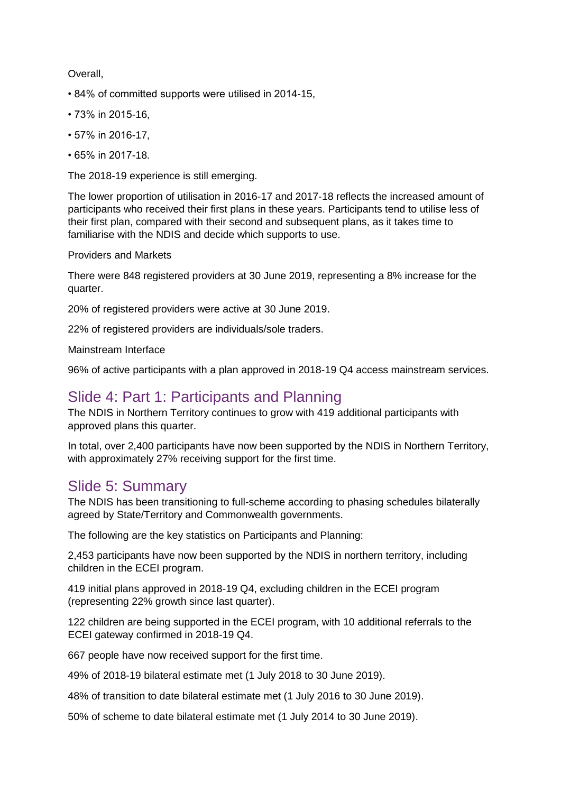#### Overall,

- 84% of committed supports were utilised in 2014-15,
- 73% in 2015-16,
- 57% in 2016-17,
- 65% in 2017-18.

The 2018-19 experience is still emerging.

The lower proportion of utilisation in 2016-17 and 2017-18 reflects the increased amount of participants who received their first plans in these years. Participants tend to utilise less of their first plan, compared with their second and subsequent plans, as it takes time to familiarise with the NDIS and decide which supports to use.

#### Providers and Markets

There were 848 registered providers at 30 June 2019, representing a 8% increase for the quarter.

20% of registered providers were active at 30 June 2019.

22% of registered providers are individuals/sole traders.

Mainstream Interface

96% of active participants with a plan approved in 2018-19 Q4 access mainstream services.

#### Slide 4: Part 1: Participants and Planning

The NDIS in Northern Territory continues to grow with 419 additional participants with approved plans this quarter.

In total, over 2,400 participants have now been supported by the NDIS in Northern Territory, with approximately 27% receiving support for the first time.

### Slide 5: Summary

The NDIS has been transitioning to full-scheme according to phasing schedules bilaterally agreed by State/Territory and Commonwealth governments.

The following are the key statistics on Participants and Planning:

2,453 participants have now been supported by the NDIS in northern territory, including children in the ECEI program.

419 initial plans approved in 2018-19 Q4, excluding children in the ECEI program (representing 22% growth since last quarter).

122 children are being supported in the ECEI program, with 10 additional referrals to the ECEI gateway confirmed in 2018-19 Q4.

667 people have now received support for the first time.

49% of 2018-19 bilateral estimate met (1 July 2018 to 30 June 2019).

48% of transition to date bilateral estimate met (1 July 2016 to 30 June 2019).

50% of scheme to date bilateral estimate met (1 July 2014 to 30 June 2019).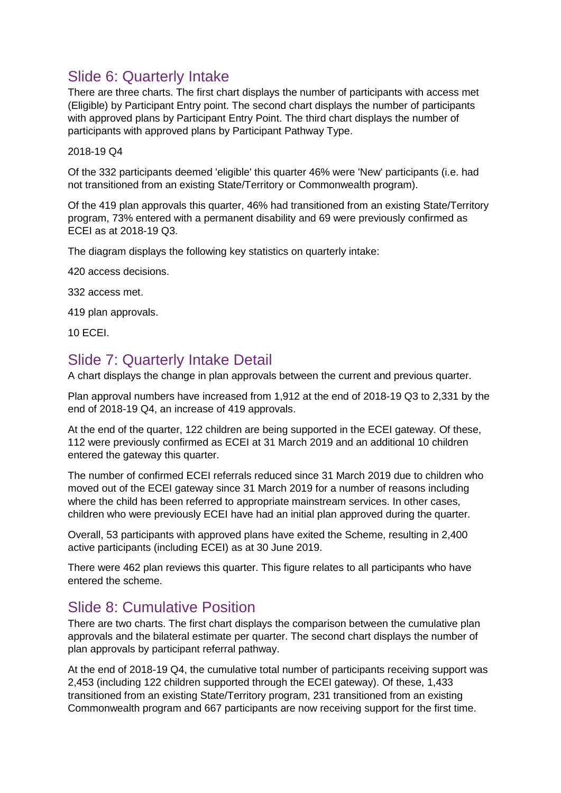# Slide 6: Quarterly Intake

There are three charts. The first chart displays the number of participants with access met (Eligible) by Participant Entry point. The second chart displays the number of participants with approved plans by Participant Entry Point. The third chart displays the number of participants with approved plans by Participant Pathway Type.

2018-19 Q4

Of the 332 participants deemed 'eligible' this quarter 46% were 'New' participants (i.e. had not transitioned from an existing State/Territory or Commonwealth program).

Of the 419 plan approvals this quarter, 46% had transitioned from an existing State/Territory program, 73% entered with a permanent disability and 69 were previously confirmed as ECEI as at 2018-19 Q3.

The diagram displays the following key statistics on quarterly intake:

420 access decisions.

332 access met.

419 plan approvals.

10 ECEI.

### Slide 7: Quarterly Intake Detail

A chart displays the change in plan approvals between the current and previous quarter.

Plan approval numbers have increased from 1,912 at the end of 2018-19 Q3 to 2,331 by the end of 2018-19 Q4, an increase of 419 approvals.

At the end of the quarter, 122 children are being supported in the ECEI gateway. Of these, 112 were previously confirmed as ECEI at 31 March 2019 and an additional 10 children entered the gateway this quarter.

The number of confirmed ECEI referrals reduced since 31 March 2019 due to children who moved out of the ECEI gateway since 31 March 2019 for a number of reasons including where the child has been referred to appropriate mainstream services. In other cases, children who were previously ECEI have had an initial plan approved during the quarter.

Overall, 53 participants with approved plans have exited the Scheme, resulting in 2,400 active participants (including ECEI) as at 30 June 2019.

There were 462 plan reviews this quarter. This figure relates to all participants who have entered the scheme.

### Slide 8: Cumulative Position

There are two charts. The first chart displays the comparison between the cumulative plan approvals and the bilateral estimate per quarter. The second chart displays the number of plan approvals by participant referral pathway.

At the end of 2018-19 Q4, the cumulative total number of participants receiving support was 2,453 (including 122 children supported through the ECEI gateway). Of these, 1,433 transitioned from an existing State/Territory program, 231 transitioned from an existing Commonwealth program and 667 participants are now receiving support for the first time.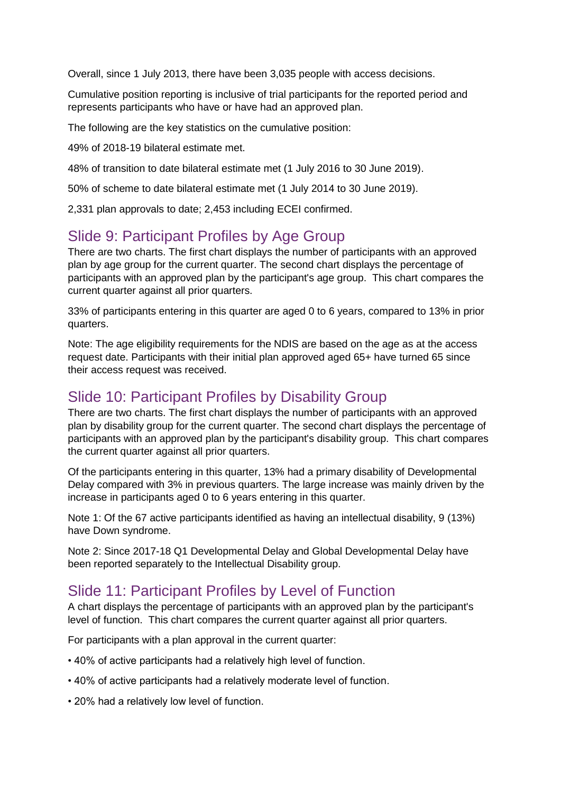Overall, since 1 July 2013, there have been 3,035 people with access decisions.

Cumulative position reporting is inclusive of trial participants for the reported period and represents participants who have or have had an approved plan.

The following are the key statistics on the cumulative position:

49% of 2018-19 bilateral estimate met.

48% of transition to date bilateral estimate met (1 July 2016 to 30 June 2019).

50% of scheme to date bilateral estimate met (1 July 2014 to 30 June 2019).

2,331 plan approvals to date; 2,453 including ECEI confirmed.

### Slide 9: Participant Profiles by Age Group

There are two charts. The first chart displays the number of participants with an approved plan by age group for the current quarter. The second chart displays the percentage of participants with an approved plan by the participant's age group. This chart compares the current quarter against all prior quarters.

33% of participants entering in this quarter are aged 0 to 6 years, compared to 13% in prior quarters.

Note: The age eligibility requirements for the NDIS are based on the age as at the access request date. Participants with their initial plan approved aged 65+ have turned 65 since their access request was received.

### Slide 10: Participant Profiles by Disability Group

There are two charts. The first chart displays the number of participants with an approved plan by disability group for the current quarter. The second chart displays the percentage of participants with an approved plan by the participant's disability group. This chart compares the current quarter against all prior quarters.

Of the participants entering in this quarter, 13% had a primary disability of Developmental Delay compared with 3% in previous quarters. The large increase was mainly driven by the increase in participants aged 0 to 6 years entering in this quarter.

Note 1: Of the 67 active participants identified as having an intellectual disability, 9 (13%) have Down syndrome.

Note 2: Since 2017-18 Q1 Developmental Delay and Global Developmental Delay have been reported separately to the Intellectual Disability group.

### Slide 11: Participant Profiles by Level of Function

A chart displays the percentage of participants with an approved plan by the participant's level of function. This chart compares the current quarter against all prior quarters.

For participants with a plan approval in the current quarter:

- 40% of active participants had a relatively high level of function.
- 40% of active participants had a relatively moderate level of function.
- 20% had a relatively low level of function.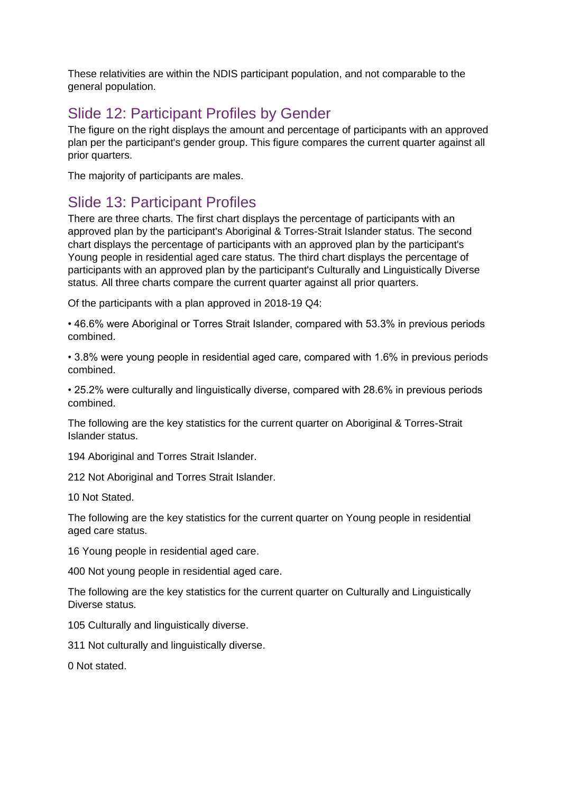These relativities are within the NDIS participant population, and not comparable to the general population.

## Slide 12: Participant Profiles by Gender

The figure on the right displays the amount and percentage of participants with an approved plan per the participant's gender group. This figure compares the current quarter against all prior quarters.

The majority of participants are males.

### Slide 13: Participant Profiles

There are three charts. The first chart displays the percentage of participants with an approved plan by the participant's Aboriginal & Torres-Strait Islander status. The second chart displays the percentage of participants with an approved plan by the participant's Young people in residential aged care status. The third chart displays the percentage of participants with an approved plan by the participant's Culturally and Linguistically Diverse status. All three charts compare the current quarter against all prior quarters.

Of the participants with a plan approved in 2018-19 Q4:

• 46.6% were Aboriginal or Torres Strait Islander, compared with 53.3% in previous periods combined.

• 3.8% were young people in residential aged care, compared with 1.6% in previous periods combined.

• 25.2% were culturally and linguistically diverse, compared with 28.6% in previous periods combined.

The following are the key statistics for the current quarter on Aboriginal & Torres-Strait Islander status.

194 Aboriginal and Torres Strait Islander.

212 Not Aboriginal and Torres Strait Islander.

10 Not Stated.

The following are the key statistics for the current quarter on Young people in residential aged care status.

16 Young people in residential aged care.

400 Not young people in residential aged care.

The following are the key statistics for the current quarter on Culturally and Linguistically Diverse status.

105 Culturally and linguistically diverse.

311 Not culturally and linguistically diverse.

0 Not stated.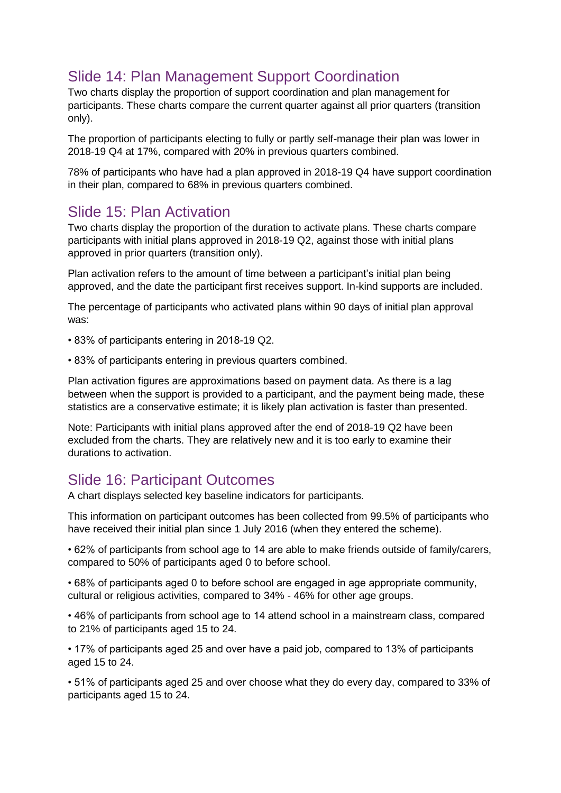# Slide 14: Plan Management Support Coordination

Two charts display the proportion of support coordination and plan management for participants. These charts compare the current quarter against all prior quarters (transition only).

The proportion of participants electing to fully or partly self-manage their plan was lower in 2018-19 Q4 at 17%, compared with 20% in previous quarters combined.

78% of participants who have had a plan approved in 2018-19 Q4 have support coordination in their plan, compared to 68% in previous quarters combined.

### Slide 15: Plan Activation

Two charts display the proportion of the duration to activate plans. These charts compare participants with initial plans approved in 2018-19 Q2, against those with initial plans approved in prior quarters (transition only).

Plan activation refers to the amount of time between a participant's initial plan being approved, and the date the participant first receives support. In-kind supports are included.

The percentage of participants who activated plans within 90 days of initial plan approval was:

- 83% of participants entering in 2018-19 Q2.
- 83% of participants entering in previous quarters combined.

Plan activation figures are approximations based on payment data. As there is a lag between when the support is provided to a participant, and the payment being made, these statistics are a conservative estimate; it is likely plan activation is faster than presented.

Note: Participants with initial plans approved after the end of 2018-19 Q2 have been excluded from the charts. They are relatively new and it is too early to examine their durations to activation.

### Slide 16: Participant Outcomes

A chart displays selected key baseline indicators for participants.

This information on participant outcomes has been collected from 99.5% of participants who have received their initial plan since 1 July 2016 (when they entered the scheme).

• 62% of participants from school age to 14 are able to make friends outside of family/carers, compared to 50% of participants aged 0 to before school.

• 68% of participants aged 0 to before school are engaged in age appropriate community, cultural or religious activities, compared to 34% - 46% for other age groups.

• 46% of participants from school age to 14 attend school in a mainstream class, compared to 21% of participants aged 15 to 24.

• 17% of participants aged 25 and over have a paid job, compared to 13% of participants aged 15 to 24.

• 51% of participants aged 25 and over choose what they do every day, compared to 33% of participants aged 15 to 24.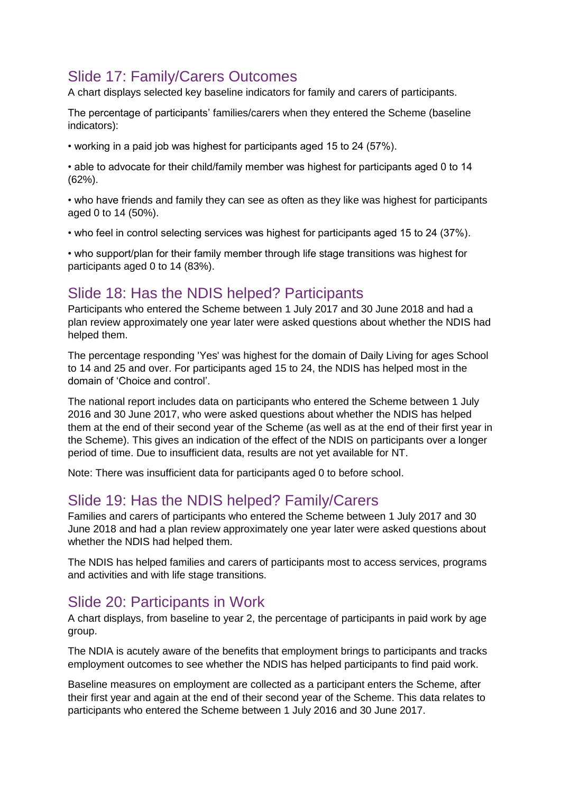# Slide 17: Family/Carers Outcomes

A chart displays selected key baseline indicators for family and carers of participants.

The percentage of participants' families/carers when they entered the Scheme (baseline indicators):

• working in a paid job was highest for participants aged 15 to 24 (57%).

• able to advocate for their child/family member was highest for participants aged 0 to 14 (62%).

• who have friends and family they can see as often as they like was highest for participants aged 0 to 14 (50%).

• who feel in control selecting services was highest for participants aged 15 to 24 (37%).

• who support/plan for their family member through life stage transitions was highest for participants aged 0 to 14 (83%).

### Slide 18: Has the NDIS helped? Participants

Participants who entered the Scheme between 1 July 2017 and 30 June 2018 and had a plan review approximately one year later were asked questions about whether the NDIS had helped them.

The percentage responding 'Yes' was highest for the domain of Daily Living for ages School to 14 and 25 and over. For participants aged 15 to 24, the NDIS has helped most in the domain of 'Choice and control'.

The national report includes data on participants who entered the Scheme between 1 July 2016 and 30 June 2017, who were asked questions about whether the NDIS has helped them at the end of their second year of the Scheme (as well as at the end of their first year in the Scheme). This gives an indication of the effect of the NDIS on participants over a longer period of time. Due to insufficient data, results are not yet available for NT.

Note: There was insufficient data for participants aged 0 to before school.

### Slide 19: Has the NDIS helped? Family/Carers

Families and carers of participants who entered the Scheme between 1 July 2017 and 30 June 2018 and had a plan review approximately one year later were asked questions about whether the NDIS had helped them.

The NDIS has helped families and carers of participants most to access services, programs and activities and with life stage transitions.

### Slide 20: Participants in Work

A chart displays, from baseline to year 2, the percentage of participants in paid work by age group.

The NDIA is acutely aware of the benefits that employment brings to participants and tracks employment outcomes to see whether the NDIS has helped participants to find paid work.

Baseline measures on employment are collected as a participant enters the Scheme, after their first year and again at the end of their second year of the Scheme. This data relates to participants who entered the Scheme between 1 July 2016 and 30 June 2017.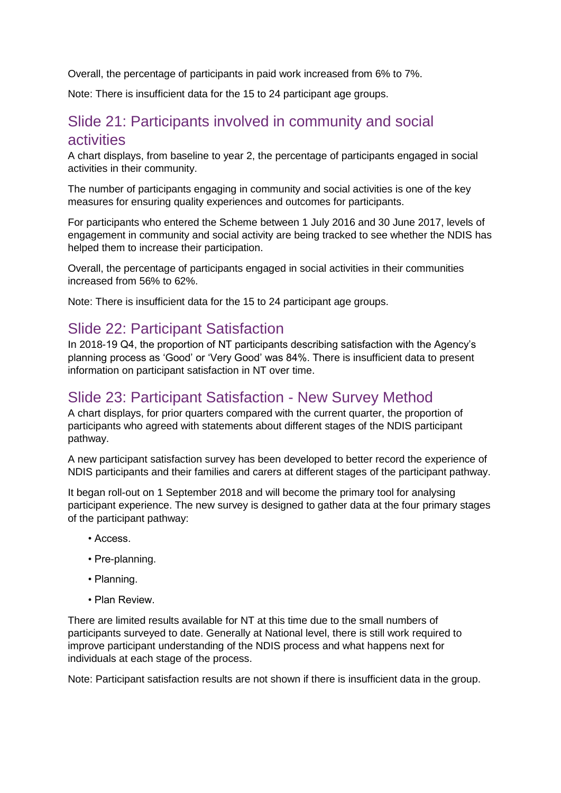Overall, the percentage of participants in paid work increased from 6% to 7%.

Note: There is insufficient data for the 15 to 24 participant age groups.

### Slide 21: Participants involved in community and social activities

A chart displays, from baseline to year 2, the percentage of participants engaged in social activities in their community.

The number of participants engaging in community and social activities is one of the key measures for ensuring quality experiences and outcomes for participants.

For participants who entered the Scheme between 1 July 2016 and 30 June 2017, levels of engagement in community and social activity are being tracked to see whether the NDIS has helped them to increase their participation.

Overall, the percentage of participants engaged in social activities in their communities increased from 56% to 62%.

Note: There is insufficient data for the 15 to 24 participant age groups.

#### Slide 22: Participant Satisfaction

In 2018-19 Q4, the proportion of NT participants describing satisfaction with the Agency's planning process as 'Good' or 'Very Good' was 84%. There is insufficient data to present information on participant satisfaction in NT over time.

#### Slide 23: Participant Satisfaction - New Survey Method

A chart displays, for prior quarters compared with the current quarter, the proportion of participants who agreed with statements about different stages of the NDIS participant pathway.

A new participant satisfaction survey has been developed to better record the experience of NDIS participants and their families and carers at different stages of the participant pathway.

It began roll-out on 1 September 2018 and will become the primary tool for analysing participant experience. The new survey is designed to gather data at the four primary stages of the participant pathway:

- Access.
- Pre-planning.
- Planning.
- Plan Review.

There are limited results available for NT at this time due to the small numbers of participants surveyed to date. Generally at National level, there is still work required to improve participant understanding of the NDIS process and what happens next for individuals at each stage of the process.

Note: Participant satisfaction results are not shown if there is insufficient data in the group.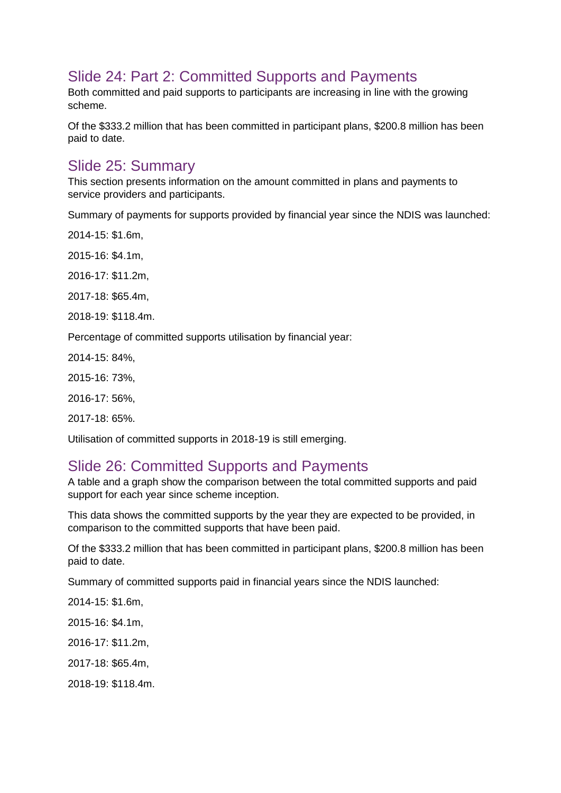# Slide 24: Part 2: Committed Supports and Payments

Both committed and paid supports to participants are increasing in line with the growing scheme.

Of the \$333.2 million that has been committed in participant plans, \$200.8 million has been paid to date.

### Slide 25: Summary

This section presents information on the amount committed in plans and payments to service providers and participants.

Summary of payments for supports provided by financial year since the NDIS was launched:

2014-15: \$1.6m,

2015-16: \$4.1m,

2016-17: \$11.2m,

2017-18: \$65.4m,

2018-19: \$118.4m.

Percentage of committed supports utilisation by financial year:

2014-15: 84%,

2015-16: 73%,

2016-17: 56%,

2017-18: 65%.

Utilisation of committed supports in 2018-19 is still emerging.

### Slide 26: Committed Supports and Payments

A table and a graph show the comparison between the total committed supports and paid support for each year since scheme inception.

This data shows the committed supports by the year they are expected to be provided, in comparison to the committed supports that have been paid.

Of the \$333.2 million that has been committed in participant plans, \$200.8 million has been paid to date.

Summary of committed supports paid in financial years since the NDIS launched:

2014-15: \$1.6m,

2015-16: \$4.1m,

2016-17: \$11.2m,

2017-18: \$65.4m,

2018-19: \$118.4m.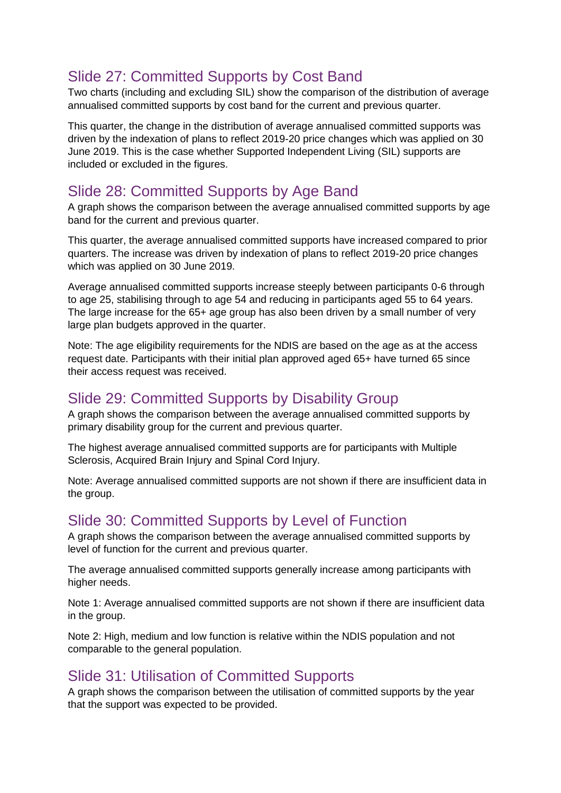# Slide 27: Committed Supports by Cost Band

Two charts (including and excluding SIL) show the comparison of the distribution of average annualised committed supports by cost band for the current and previous quarter.

This quarter, the change in the distribution of average annualised committed supports was driven by the indexation of plans to reflect 2019-20 price changes which was applied on 30 June 2019. This is the case whether Supported Independent Living (SIL) supports are included or excluded in the figures.

# Slide 28: Committed Supports by Age Band

A graph shows the comparison between the average annualised committed supports by age band for the current and previous quarter.

This quarter, the average annualised committed supports have increased compared to prior quarters. The increase was driven by indexation of plans to reflect 2019-20 price changes which was applied on 30 June 2019.

Average annualised committed supports increase steeply between participants 0-6 through to age 25, stabilising through to age 54 and reducing in participants aged 55 to 64 years. The large increase for the 65+ age group has also been driven by a small number of very large plan budgets approved in the quarter.

Note: The age eligibility requirements for the NDIS are based on the age as at the access request date. Participants with their initial plan approved aged 65+ have turned 65 since their access request was received.

### Slide 29: Committed Supports by Disability Group

A graph shows the comparison between the average annualised committed supports by primary disability group for the current and previous quarter.

The highest average annualised committed supports are for participants with Multiple Sclerosis, Acquired Brain Injury and Spinal Cord Injury.

Note: Average annualised committed supports are not shown if there are insufficient data in the group.

# Slide 30: Committed Supports by Level of Function

A graph shows the comparison between the average annualised committed supports by level of function for the current and previous quarter.

The average annualised committed supports generally increase among participants with higher needs.

Note 1: Average annualised committed supports are not shown if there are insufficient data in the group.

Note 2: High, medium and low function is relative within the NDIS population and not comparable to the general population.

### Slide 31: Utilisation of Committed Supports

A graph shows the comparison between the utilisation of committed supports by the year that the support was expected to be provided.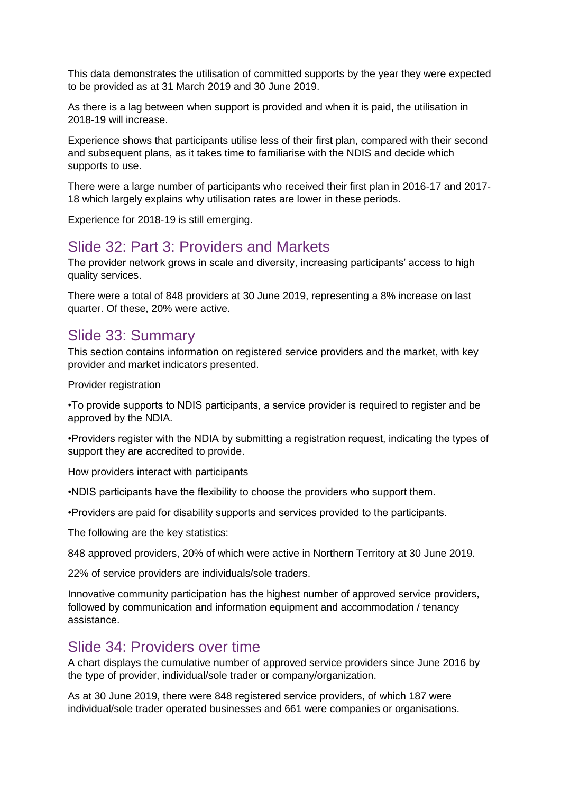This data demonstrates the utilisation of committed supports by the year they were expected to be provided as at 31 March 2019 and 30 June 2019.

As there is a lag between when support is provided and when it is paid, the utilisation in 2018-19 will increase.

Experience shows that participants utilise less of their first plan, compared with their second and subsequent plans, as it takes time to familiarise with the NDIS and decide which supports to use.

There were a large number of participants who received their first plan in 2016-17 and 2017- 18 which largely explains why utilisation rates are lower in these periods.

Experience for 2018-19 is still emerging.

#### Slide 32: Part 3: Providers and Markets

The provider network grows in scale and diversity, increasing participants' access to high quality services.

There were a total of 848 providers at 30 June 2019, representing a 8% increase on last quarter. Of these, 20% were active.

### Slide 33: Summary

This section contains information on registered service providers and the market, with key provider and market indicators presented.

Provider registration

•To provide supports to NDIS participants, a service provider is required to register and be approved by the NDIA.

•Providers register with the NDIA by submitting a registration request, indicating the types of support they are accredited to provide.

How providers interact with participants

•NDIS participants have the flexibility to choose the providers who support them.

•Providers are paid for disability supports and services provided to the participants.

The following are the key statistics:

848 approved providers, 20% of which were active in Northern Territory at 30 June 2019.

22% of service providers are individuals/sole traders.

Innovative community participation has the highest number of approved service providers, followed by communication and information equipment and accommodation / tenancy assistance.

#### Slide 34: Providers over time

A chart displays the cumulative number of approved service providers since June 2016 by the type of provider, individual/sole trader or company/organization.

As at 30 June 2019, there were 848 registered service providers, of which 187 were individual/sole trader operated businesses and 661 were companies or organisations.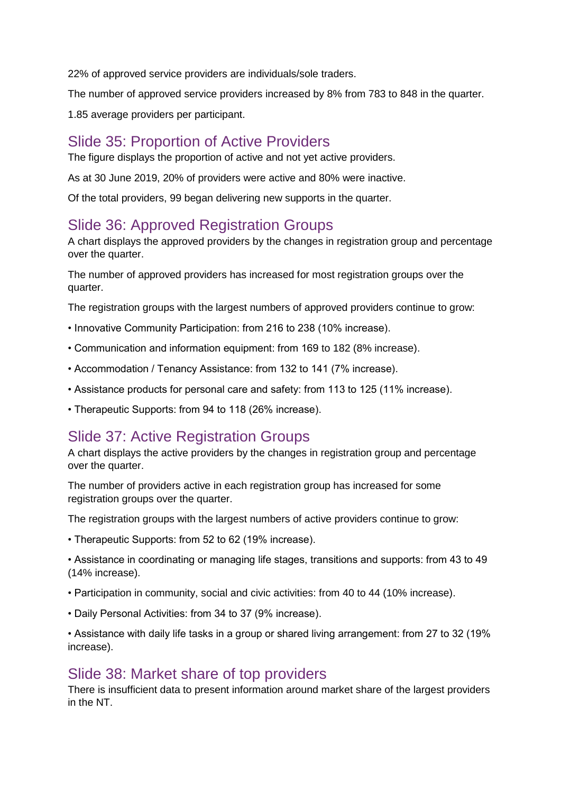22% of approved service providers are individuals/sole traders.

The number of approved service providers increased by 8% from 783 to 848 in the quarter.

1.85 average providers per participant.

## Slide 35: Proportion of Active Providers

The figure displays the proportion of active and not yet active providers.

As at 30 June 2019, 20% of providers were active and 80% were inactive.

Of the total providers, 99 began delivering new supports in the quarter.

# Slide 36: Approved Registration Groups

A chart displays the approved providers by the changes in registration group and percentage over the quarter.

The number of approved providers has increased for most registration groups over the quarter.

The registration groups with the largest numbers of approved providers continue to grow:

- Innovative Community Participation: from 216 to 238 (10% increase).
- Communication and information equipment: from 169 to 182 (8% increase).
- Accommodation / Tenancy Assistance: from 132 to 141 (7% increase).
- Assistance products for personal care and safety: from 113 to 125 (11% increase).
- Therapeutic Supports: from 94 to 118 (26% increase).

### Slide 37: Active Registration Groups

A chart displays the active providers by the changes in registration group and percentage over the quarter.

The number of providers active in each registration group has increased for some registration groups over the quarter.

The registration groups with the largest numbers of active providers continue to grow:

• Therapeutic Supports: from 52 to 62 (19% increase).

• Assistance in coordinating or managing life stages, transitions and supports: from 43 to 49 (14% increase).

- Participation in community, social and civic activities: from 40 to 44 (10% increase).
- Daily Personal Activities: from 34 to 37 (9% increase).

• Assistance with daily life tasks in a group or shared living arrangement: from 27 to 32 (19% increase).

### Slide 38: Market share of top providers

There is insufficient data to present information around market share of the largest providers in the NT.